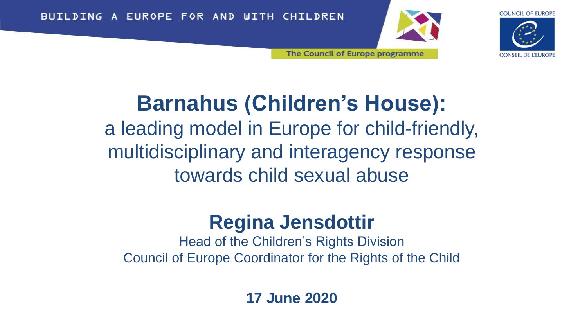BUILDING A EUROPE FOR AND WITH CHILDREN



**COUNCIL OF EUROPE** 

**CONSEIL DE L'EUROPE** 

The Council of Europe programme

### **Barnahus (Children's House):** a leading model in Europe for child-friendly, multidisciplinary and interagency response towards child sexual abuse

### **Regina Jensdottir**

Head of the Children's Rights Division Council of Europe Coordinator for the Rights of the Child

**17 June 2020**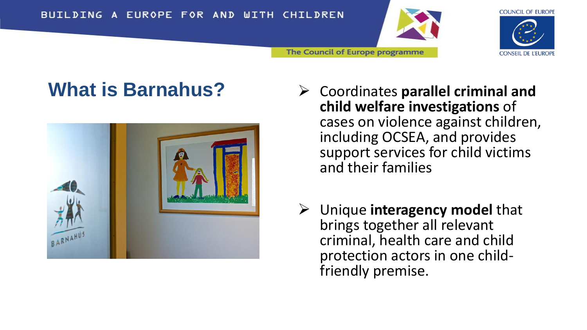





- **What is Barnahus?** → Coordinates parallel criminal and **child welfare investigations** of cases on violence against children, including OCSEA, and provides support services for child victims and their families
	- ➢ Unique **interagency model** that brings together all relevant criminal, health care and child protection actors in one childfriendly premise.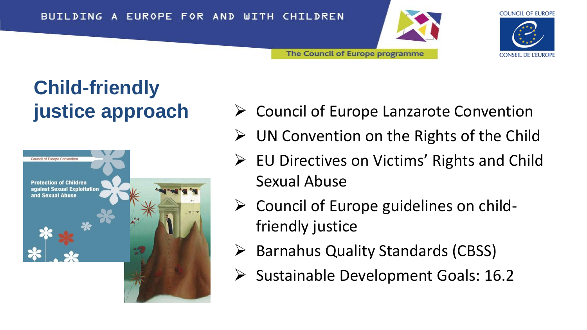



# **Child-friendly**



**justice approach →** Council of Europe Lanzarote Convention

The Council of Europe programme

- ➢ UN Convention on the Rights of the Child
- ➢ EU Directives on Victims' Rights and Child Sexual Abuse
- ➢ Council of Europe guidelines on childfriendly justice
- ➢ Barnahus Quality Standards (CBSS)
- ➢ Sustainable Development Goals: 16.2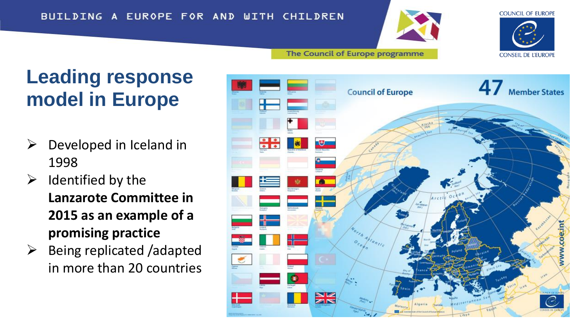#### BUILDING A EUROPE FOR AND WITH CHILDREN



The Council of Europe programme



### **Leading response model in Europe**

- $\triangleright$  Developed in Iceland in 1998
- $\triangleright$  Identified by the **Lanzarote Committee in 2015 as an example of a promising practice**
- $\triangleright$  Being replicated /adapted in more than 20 countries

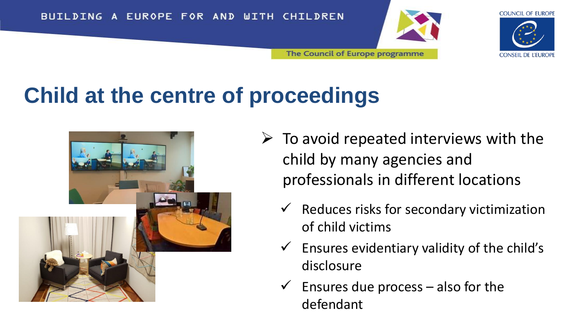



# **Child at the centre of proceedings**



- $\triangleright$  To avoid repeated interviews with the child by many agencies and professionals in different locations
	- $\checkmark$  Reduces risks for secondary victimization of child victims
	- Ensures evidentiary validity of the child's disclosure
	- Ensures due process  $-$  also for the defendant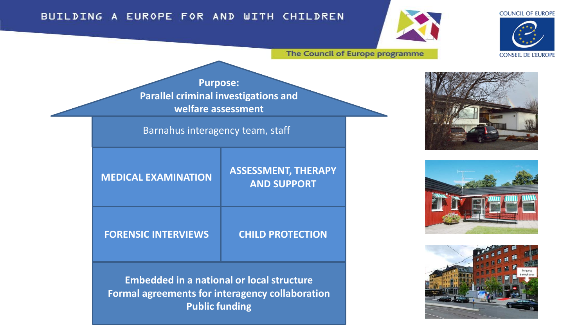#### **COUNCIL OF EUROPE**



#### BUILDING A EUROPE FOR AND WITH CHILDREN

The Council of Europe programme







**Purpose: Parallel criminal investigations and welfare assessment**

Barnahus interagency team, staff

| <b>MEDICAL EXAMINATION</b> | <b>ASSESSMENT, THERAPY</b><br><b>AND SUPPORT</b> |
|----------------------------|--------------------------------------------------|
| <b>FORENSIC INTERVIEWS</b> | <b>CHILD PROTECTION</b>                          |

**Embedded in a national or local structure Formal agreements for interagency collaboration Public funding**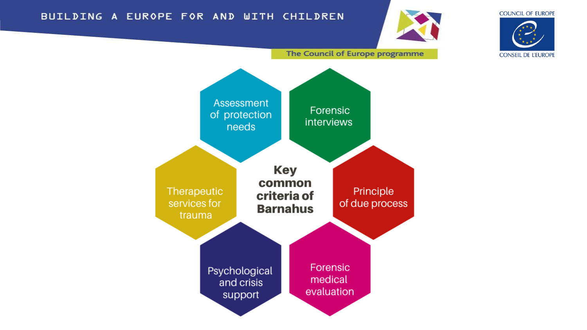#### BUILDING A EUROPE FOR AND WITH CHILDREN



**COUNCIL OF EUROPE** 



The Council of Europe programme

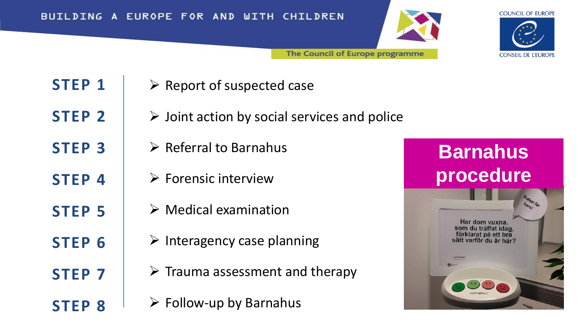





**STEP 1**

**STEP 2**

**STEP 3**

**STEP 4**

**STEP 5**

**STEP 6**

**STEP 7**

**STEP 8**

- ➢ Report of suspected case
- $\triangleright$  Joint action by social services and police
- $\triangleright$  Referral to Barnahus
	- $\triangleright$  Forensic interview
	- $\triangleright$  Medical examination
	- $\triangleright$  Interagency case planning
	- $\triangleright$  Trauma assessment and therapy
	- $\triangleright$  Follow-up by Barnahus

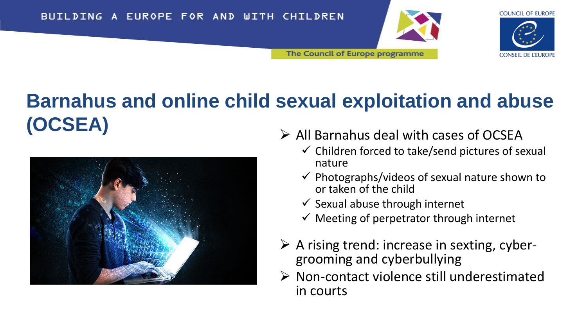



## **Barnahus and online child sexual exploitation and abuse (OCSEA)** ➢ All Barnahus deal with cases of OCSEA



- - $\checkmark$  Children forced to take/send pictures of sexual nature
	- $\checkmark$  Photographs/videos of sexual nature shown to or taken of the child
	- $\checkmark$  Sexual abuse through internet
	- $\checkmark$  Meeting of perpetrator through internet
- $\triangleright$  A rising trend: increase in sexting, cybergrooming and cyberbullying
- ➢ Non-contact violence still underestimated in courts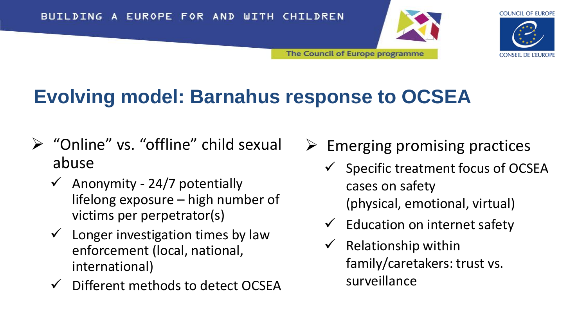



### **Evolving model: Barnahus response to OCSEA**

- ➢ "Online" vs. "offline" child sexual abuse
	- $\checkmark$  Anonymity 24/7 potentially lifelong exposure – high number of victims per perpetrator(s)
	- $\checkmark$  Longer investigation times by law enforcement (local, national, international)
	- ✓ Different methods to detect OCSEA
- $\triangleright$  Emerging promising practices
	- $\checkmark$  Specific treatment focus of OCSEA cases on safety (physical, emotional, virtual)
	- $\checkmark$  Education on internet safety
	- $\checkmark$  Relationship within family/caretakers: trust vs. surveillance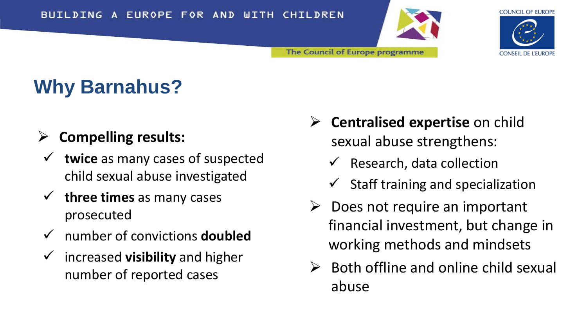



**CONSEIL DE L'EUROPE** 

## **Why Barnahus?**

#### ➢ **Compelling results:**

- ✓ **twice** as many cases of suspected child sexual abuse investigated
- ✓ **three times** as many cases prosecuted
- ✓ number of convictions **doubled**
- ✓ increased **visibility** and higher number of reported cases
- ➢ **Centralised expertise** on child sexual abuse strengthens:
	- Research, data collection
	- $\checkmark$  Staff training and specialization
- $\triangleright$  Does not require an important financial investment, but change in working methods and mindsets
- $\triangleright$  Both offline and online child sexual abuse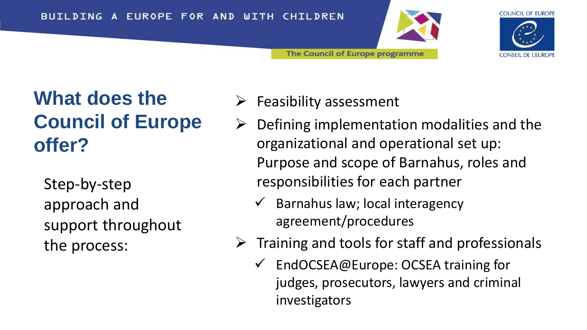



### **What does the Council of Europe offer?**

Step-by-step approach and support throughout the process:

- ➢ Feasibility assessment
- $\triangleright$  Defining implementation modalities and the organizational and operational set up: Purpose and scope of Barnahus, roles and responsibilities for each partner
	- $\checkmark$  Barnahus law; local interagency agreement/procedures

The Council of Europe programme

- $\triangleright$  Training and tools for staff and professionals
	- ✓ EndOCSEA@Europe: OCSEA training for judges, prosecutors, lawyers and criminal investigators